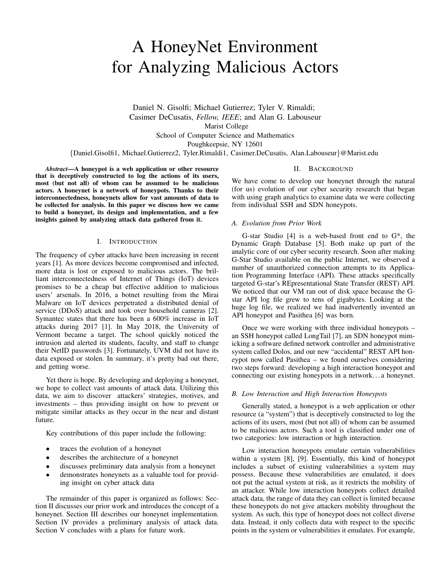# A HoneyNet Environment for Analyzing Malicious Actors

Daniel N. Gisolfi; Michael Gutierrez; Tyler V. Rimaldi; Casimer DeCusatis, *Fellow, IEEE*; and Alan G. Labouseur Marist College School of Computer Science and Mathematics Poughkeepsie, NY 12601 {Daniel.Gisolfi1, Michael.Gutierrez2, Tyler.Rimaldi1, Casimer.DeCusatis, Alan.Labouseur}@Marist.edu

*Abstract*—A honeypot is a web application or other resource that is deceptively constructed to log the actions of its users, most (but not all) of whom can be assumed to be malicious actors. A honeynet is a network of honeypots. Thanks to their interconnectedness, honeynets allow for vast amounts of data to be collected for analysis. In this paper we discuss how we came to build a honeynet, its design and implementation, and a few insights gained by analyzing attack data gathered from it.

## I. INTRODUCTION

The frequency of cyber attacks have been increasing in recent years [1]. As more devices become compromised and infected, more data is lost or exposed to malicious actors. The brilliant interconnectedness of Internet of Things (IoT) devices promises to be a cheap but effective addition to malicious users' arsenals. In 2016, a botnet resulting from the Mirai Malware on IoT devices perpetrated a distributed denial of service (DDoS) attack and took over household cameras [2]. Symantec states that there has been a 600% increase in IoT attacks during 2017 [1]. In May 2018, the University of Vermont became a target. The school quickly noticed the intrusion and alerted its students, faculty, and staff to change their NetID passwords [3]. Fortunately, UVM did not have its data exposed or stolen. In summary, it's pretty bad out there, and getting worse.

Yet there is hope. By developing and deploying a honeynet, we hope to collect vast amounts of attack data. Utilizing this data, we aim to discover attackers' strategies, motives, and investments – thus providing insight on how to prevent or mitigate similar attacks as they occur in the near and distant future.

Key contributions of this paper include the following:

- traces the evolution of a honeynet
- describes the architecture of a honeynet
- discusses preliminary data analysis from a honeynet
- demonstrates honeynets as a valuable tool for providing insight on cyber attack data

The remainder of this paper is organized as follows: Section II discusses our prior work and introduces the concept of a honeynet. Section III describes our honeynet implementation. Section IV provides a preliminary analysis of attack data. Section V concludes with a plans for future work.

#### II. BACKGROUND

We have come to develop our honeynet through the natural (for us) evolution of our cyber security research that began with using graph analytics to examine data we were collecting from individual SSH and SDN honeypots.

#### *A. Evolution from Prior Work*

G-star Studio [4] is a web-based front end to G\*, the Dynamic Graph Database [5]. Both make up part of the analytic core of our cyber security research. Soon after making G-Star Studio available on the public Internet, we observed a number of unauthorized connection attempts to its Application Programming Interface (API). These attacks specifically targeted G-star's REpresentational State Transfer (REST) API. We noticed that our VM ran out of disk space because the Gstar API log file grew to tens of gigabytes. Looking at the huge log file, we realized we had inadvertently invented an API honeypot and Pasithea [6] was born.

Once we were working with three individual honeypots – an SSH honeypot called LongTail [7], an SDN honeypot mimicking a software defined network controller and administrative system called Dolos, and our new "accidental" REST API honeypot now called Pasithea – we found ourselves considering two steps forward: developing a high interaction honeypot and connecting our existing honeypots in a network. . . a honeynet.

#### *B. Low Interaction and High Interaction Honeypots*

Generally stated, a honeypot is a web application or other resource (a "system") that is deceptively constructed to log the actions of its users, most (but not all) of whom can be assumed to be malicious actors. Such a tool is classified under one of two categories: low interaction or high interaction.

Low interaction honeypots emulate certain vulnerabilities within a system [8], [9]. Essentially, this kind of honeypot includes a subset of existing vulnerabilities a system may possess. Because these vulnerabilities are emulated, it does not put the actual system at risk, as it restricts the mobility of an attacker. While low interaction honeypots collect detailed attack data, the range of data they can collect is limited because these honeypots do not give attackers mobility throughout the system. As such, this type of honeypot does not collect diverse data. Instead, it only collects data with respect to the specific points in the system or vulnerabilities it emulates. For example,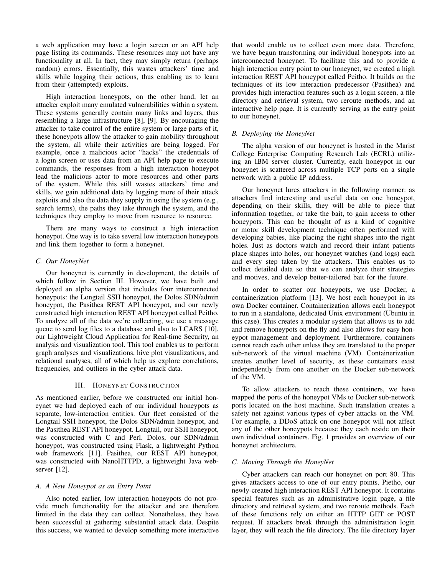a web application may have a login screen or an API help page listing its commands. These resources may not have any functionality at all. In fact, they may simply return (perhaps random) errors. Essentially, this wastes attackers' time and skills while logging their actions, thus enabling us to learn from their (attempted) exploits.

High interaction honeypots, on the other hand, let an attacker exploit many emulated vulnerabilities within a system. These systems generally contain many links and layers, thus resembling a large infrastructure [8], [9]. By encouraging the attacker to take control of the entire system or large parts of it, these honeypots allow the attacker to gain mobility throughout the system, all while their activities are being logged. For example, once a malicious actor "hacks" the credentials of a login screen or uses data from an API help page to execute commands, the responses from a high interaction honeypot lead the malicious actor to more resources and other parts of the system. While this still wastes attackers' time and skills, we gain additional data by logging more of their attack exploits and also the data they supply in using the system (e.g., search terms), the paths they take through the system, and the techniques they employ to move from resource to resource.

There are many ways to construct a high interaction honeypot. One way is to take several low interaction honeypots and link them together to form a honeynet.

## *C. Our HoneyNet*

Our honeynet is currently in development, the details of which follow in Section III. However, we have built and deployed an alpha version that includes four interconnected honeypots: the Longtail SSH honeypot, the Dolos SDN/admin honeypot, the Pasithea REST API honeypot, and our newly constructed high interaction REST API honeypot called Peitho. To analyze all of the data we're collecting, we use a message queue to send log files to a database and also to LCARS [10], our Lightweight Cloud Application for Real-time Security, an analysis and visualization tool. This tool enables us to perform graph analyses and visualizations, hive plot visualizations, and relational analyses, all of which help us explore correlations, frequencies, and outliers in the cyber attack data.

## III. HONEYNET CONSTRUCTION

As mentioned earlier, before we constructed our initial honeynet we had deployed each of our individual honeypots as separate, low-interaction entities. Our fleet consisted of the Longtail SSH honeypot, the Dolos SDN/admin honeypot, and the Pasithea REST API honeypot. Longtail, our SSH honeypot, was constructed with C and Perl. Dolos, our SDN/admin honeypot, was constructed using Flask, a lightweight Python web framework [11]. Pasithea, our REST API honeypot, was constructed with NanoHTTPD, a lightweight Java webserver [12].

## *A. A New Honeypot as an Entry Point*

Also noted earlier, low interaction honeypots do not provide much functionality for the attacker and are therefore limited in the data they can collect. Nonetheless, they have been successful at gathering substantial attack data. Despite this success, we wanted to develop something more interactive that would enable us to collect even more data. Therefore, we have begun transforming our individual honeypots into an interconnected honeynet. To facilitate this and to provide a high interaction entry point to our honeynet, we created a high interaction REST API honeypot called Peitho. It builds on the techniques of its low interaction predecessor (Pasithea) and provides high interaction features such as a login screen, a file directory and retrieval system, two reroute methods, and an interactive help page. It is currently serving as the entry point to our honeynet.

## *B. Deploying the HoneyNet*

The alpha version of our honeynet is hosted in the Marist College Enterprise Computing Research Lab (ECRL) utilizing an IBM server cluster. Currently, each honeypot in our honeynet is scattered across multiple TCP ports on a single network with a public IP address.

Our honeynet lures attackers in the following manner: as attackers find interesting and useful data on one honeypot, depending on their skills, they will be able to piece that information together, or take the bait, to gain access to other honeypots. This can be thought of as a kind of cognitive or motor skill development technique often performed with developing babies, like placing the right shapes into the right holes. Just as doctors watch and record their infant patients place shapes into holes, our honeynet watches (and logs) each and every step taken by the attackers. This enables us to collect detailed data so that we can analyze their strategies and motives, and develop better-tailored bait for the future.

In order to scatter our honeypots, we use Docker, a containerization platform [13]. We host each honeypot in its own Docker container. Containerization allows each honeypot to run in a standalone, dedicated Unix environment (Ubuntu in this case). This creates a modular system that allows us to add and remove honeypots on the fly and also allows for easy honeypot management and deployment. Furthermore, containers cannot reach each other unless they are translated to the proper sub-network of the virtual machine (VM). Containerization creates another level of security, as these containers exist independently from one another on the Docker sub-network of the VM.

To allow attackers to reach these containers, we have mapped the ports of the honeypot VMs to Docker sub-network ports located on the host machine. Such translation creates a safety net against various types of cyber attacks on the VM. For example, a DDoS attack on one honeypot will not affect any of the other honeypots because they each reside on their own individual containers. Fig. 1 provides an overview of our honeynet architecture.

#### *C. Moving Through the HoneyNet*

Cyber attackers can reach our honeynet on port 80. This gives attackers access to one of our entry points, Pietho, our newly-created high interaction REST API honeypot. It contains special features such as an administrative login page, a file directory and retrieval system, and two reroute methods. Each of these functions rely on either an HTTP GET or POST request. If attackers break through the administration login layer, they will reach the file directory. The file directory layer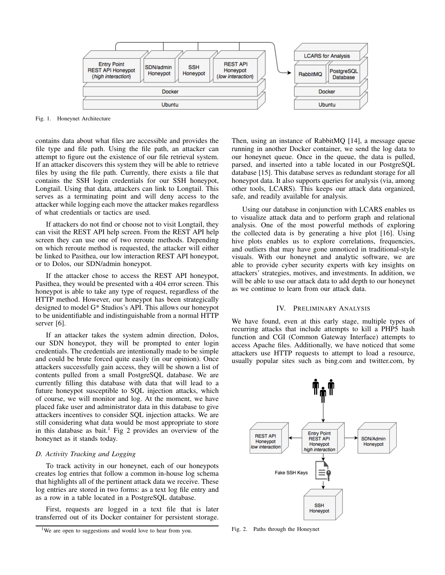

Fig. 1. Honeynet Architecture

contains data about what files are accessible and provides the file type and file path. Using the file path, an attacker can attempt to figure out the existence of our file retrieval system. If an attacker discovers this system they will be able to retrieve files by using the file path. Currently, there exists a file that contains the SSH login credentials for our SSH honeypot, Longtail. Using that data, attackers can link to Longtail. This serves as a terminating point and will deny access to the attacker while logging each move the attacker makes regardless of what credentials or tactics are used.

If attackers do not find or choose not to visit Longtail, they can visit the REST API help screen. From the REST API help screen they can use one of two reroute methods. Depending on which reroute method is requested, the attacker will either be linked to Pasithea, our low interaction REST API honeypot, or to Dolos, our SDN/admin honeypot.

If the attacker chose to access the REST API honeypot, Pasithea, they would be presented with a 404 error screen. This honeypot is able to take any type of request, regardless of the HTTP method. However, our honeypot has been strategically designed to model G\* Studios's API. This allows our honeypot to be unidentifiable and indistinguishable from a normal HTTP server [6].

If an attacker takes the system admin direction, Dolos, our SDN honeypot, they will be prompted to enter login credentials. The credentials are intentionally made to be simple and could be brute forced quite easily (in our opinion). Once attackers successfully gain access, they will be shown a list of contents pulled from a small PostgreSQL database. We are currently filling this database with data that will lead to a future honeypot susceptible to SQL injection attacks, which of course, we will monitor and log. At the moment, we have placed fake user and administrator data in this database to give attackers incentives to consider SQL injection attacks. We are still considering what data would be most appropriate to store in this database as bait.<sup>1</sup> Fig 2 provides an overview of the honeynet as it stands today.

#### *D. Activity Tracking and Logging*

To track activity in our honeynet, each of our honeypots creates log entries that follow a common in-house log schema that highlights all of the pertinent attack data we receive. These log entries are stored in two forms: as a text log file entry and as a row in a table located in a PostgreSQL database.

First, requests are logged in a text file that is later transferred out of its Docker container for persistent storage.

Then, using an instance of RabbitMQ [14], a message queue running in another Docker container, we send the log data to our honeynet queue. Once in the queue, the data is pulled, parsed, and inserted into a table located in our PostgreSQL database [15]. This database serves as redundant storage for all honeypot data. It also supports queries for analysis (via, among other tools, LCARS). This keeps our attack data organized, safe, and readily available for analysis.

Using our database in conjunction with LCARS enables us to visualize attack data and to perform graph and relational analysis. One of the most powerful methods of exploring the collected data is by generating a hive plot [16]. Using hive plots enables us to explore correlations, frequencies, and outliers that may have gone unnoticed in traditional-style visuals. With our honeynet and analytic software, we are able to provide cyber security experts with key insights on attackers' strategies, motives, and investments. In addition, we will be able to use our attack data to add depth to our honeynet as we continue to learn from our attack data.

#### IV. PRELIMINARY ANALYSIS

We have found, even at this early stage, multiple types of recurring attacks that include attempts to kill a PHP5 hash function and CGI (Common Gateway Interface) attempts to access Apache files. Additionally, we have noticed that some attackers use HTTP requests to attempt to load a resource, usually popular sites such as bing.com and twitter.com, by



Fig. 2. Paths through the Honeynet

<sup>&</sup>lt;sup>1</sup>We are open to suggestions and would love to hear from you.